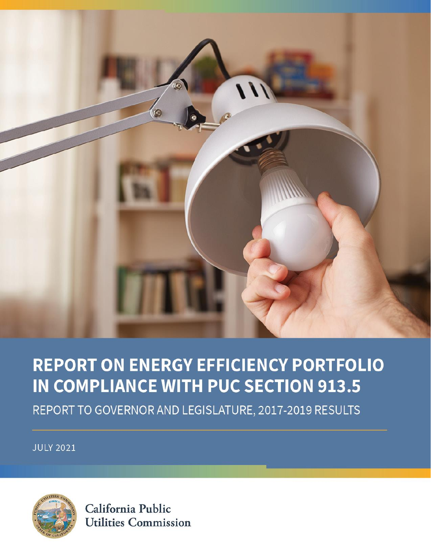

## **REPORT ON ENERGY EFFICIENCY PORTFOLIO** IN COMPLIANCE WITH PUC SECTION 913.5

REPORT TO GOVERNOR AND LEGISLATURE, 2017-2019 RESULTS

**JULY 2021** 



California Public **Utilities Commission**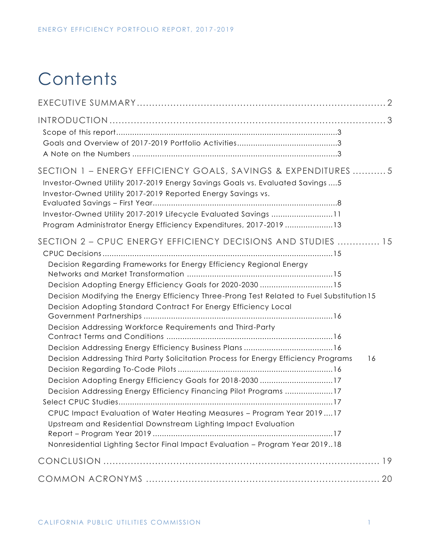## **Contents**

| SECTION 1 - ENERGY EFFICIENCY GOALS, SAVINGS & EXPENDITURES 5<br>Investor-Owned Utility 2017-2019 Energy Savings Goals vs. Evaluated Savings  5<br>Investor-Owned Utility 2017-2019 Reported Energy Savings vs.<br>Investor-Owned Utility 2017-2019 Lifecycle Evaluated Savings 11<br>Program Administrator Energy Efficiency Expenditures, 2017-2019 13                                                                                                 |  |
|----------------------------------------------------------------------------------------------------------------------------------------------------------------------------------------------------------------------------------------------------------------------------------------------------------------------------------------------------------------------------------------------------------------------------------------------------------|--|
| SECTION 2 - CPUC ENERGY EFFICIENCY DECISIONS AND STUDIES  15<br>Decision Regarding Frameworks for Energy Efficiency Regional Energy<br>Decision Adopting Energy Efficiency Goals for 2020-2030 15<br>Decision Modifying the Energy Efficiency Three-Prong Test Related to Fuel Substitution 15<br>Decision Adopting Standard Contract For Energy Efficiency Local<br>Decision Addressing Workforce Requirements and Third-Party                          |  |
| Decision Addressing Third Party Solicitation Process for Energy Efficiency Programs<br>16<br>Decision Adopting Energy Efficiency Goals for 2018-2030 17<br>Decision Addressing Energy Efficiency Financing Pilot Programs 17<br>CPUC Impact Evaluation of Water Heating Measures - Program Year 201917<br>Upstream and Residential Downstream Lighting Impact Evaluation<br>Nonresidential Lighting Sector Final Impact Evaluation - Program Year 201918 |  |
|                                                                                                                                                                                                                                                                                                                                                                                                                                                          |  |
|                                                                                                                                                                                                                                                                                                                                                                                                                                                          |  |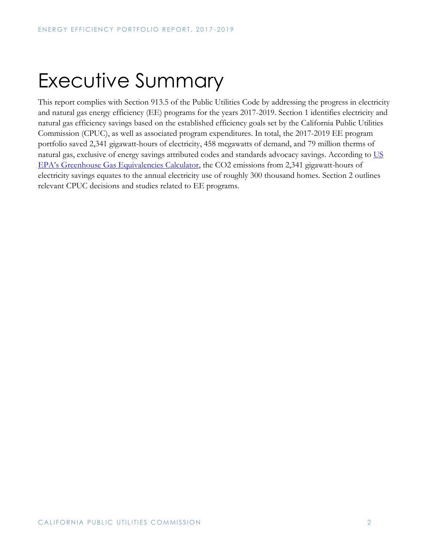# <span id="page-2-0"></span>Executive Summary

This report complies with Section 913.5 of the Public Utilities Code by addressing the progress in electricity and natural gas energy efficiency (EE) programs for the years 2017-2019. Section 1 identifies electricity and natural gas efficiency savings based on the established efficiency goals set by the California Public Utilities Commission (CPUC), as well as associated program expenditures. In total, the 2017-2019 EE program portfolio saved 2,341 gigawatt-hours of electricity, 458 megawatts of demand, and 79 million therms of natural gas, exclusive of energy savings attributed codes and standards advocacy savings. According to US [EPA's Greenhouse Gas Equivalencies Calculator,](https://www.epa.gov/energy/greenhouse-gas-equivalencies-calculator) the CO2 emissions from 2,341 gigawatt-hours of electricity savings equates to the annual electricity use of roughly 300 thousand homes. Section 2 outlines relevant CPUC decisions and studies related to EE programs.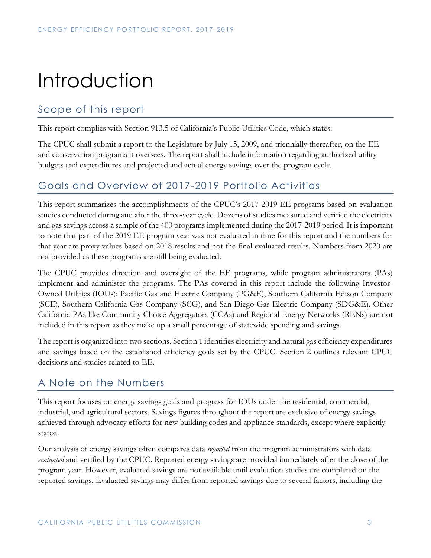## <span id="page-3-0"></span>Introduction

## <span id="page-3-1"></span>Scope of this report

This report complies with Section 913.5 of California's Public Utilities Code, which states:

The CPUC shall submit a report to the Legislature by July 15, 2009, and triennially thereafter, on the EE and conservation programs it oversees. The report shall include information regarding authorized utility budgets and expenditures and projected and actual energy savings over the program cycle.

### <span id="page-3-2"></span>Goals and Overview of 2017-2019 Portfolio Activities

This report summarizes the accomplishments of the CPUC's 2017-2019 EE programs based on evaluation studies conducted during and after the three-year cycle. Dozens of studies measured and verified the electricity and gas savings across a sample of the 400 programs implemented during the 2017-2019 period. It is important to note that part of the 2019 EE program year was not evaluated in time for this report and the numbers for that year are proxy values based on 2018 results and not the final evaluated results. Numbers from 2020 are not provided as these programs are still being evaluated.

The CPUC provides direction and oversight of the EE programs, while program administrators (PAs) implement and administer the programs. The PAs covered in this report include the following Investor-Owned Utilities (IOUs): Pacific Gas and Electric Company (PG&E), Southern California Edison Company (SCE), Southern California Gas Company (SCG), and San Diego Gas Electric Company (SDG&E). Other California PAs like Community Choice Aggregators (CCAs) and Regional Energy Networks (RENs) are not included in this report as they make up a small percentage of statewide spending and savings.

The report is organized into two sections. Section 1 identifies electricity and natural gas efficiency expenditures and savings based on the established efficiency goals set by the CPUC. Section 2 outlines relevant CPUC decisions and studies related to EE.

### <span id="page-3-3"></span>A Note on the Numbers

This report focuses on energy savings goals and progress for IOUs under the residential, commercial, industrial, and agricultural sectors. Savings figures throughout the report are exclusive of energy savings achieved through advocacy efforts for new building codes and appliance standards, except where explicitly stated.

Our analysis of energy savings often compares data *reported* from the program administrators with data *evaluated* and verified by the CPUC. Reported energy savings are provided immediately after the close of the program year. However, evaluated savings are not available until evaluation studies are completed on the reported savings. Evaluated savings may differ from reported savings due to several factors, including the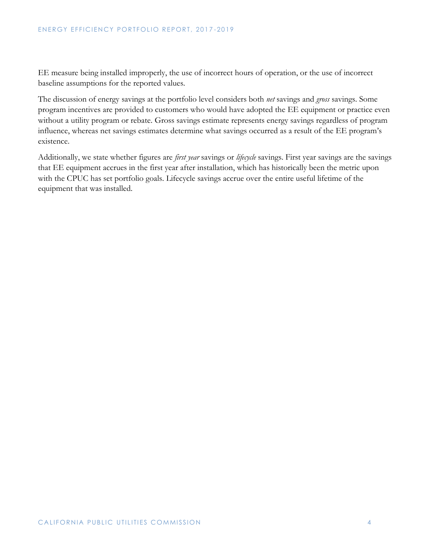EE measure being installed improperly, the use of incorrect hours of operation, or the use of incorrect baseline assumptions for the reported values.

The discussion of energy savings at the portfolio level considers both *net* savings and *gross* savings. Some program incentives are provided to customers who would have adopted the EE equipment or practice even without a utility program or rebate. Gross savings estimate represents energy savings regardless of program influence, whereas net savings estimates determine what savings occurred as a result of the EE program's existence.

Additionally, we state whether figures are *first year* savings or *lifecycle* savings. First year savings are the savings that EE equipment accrues in the first year after installation, which has historically been the metric upon with the CPUC has set portfolio goals. Lifecycle savings accrue over the entire useful lifetime of the equipment that was installed.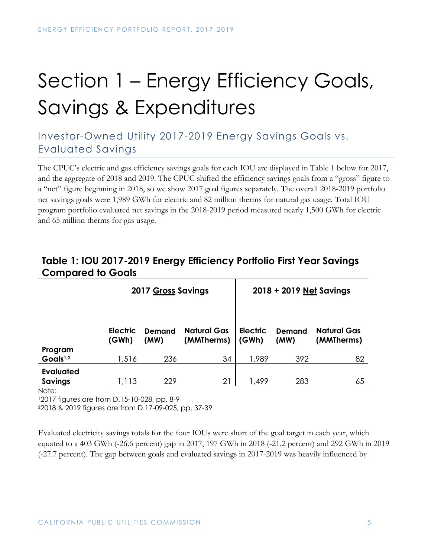# <span id="page-5-0"></span>Section 1 – Energy Efficiency Goals, Savings & Expenditures

## <span id="page-5-1"></span>Investor-Owned Utility 2017-2019 Energy Savings Goals vs. Evaluated Savings

The CPUC's electric and gas efficiency savings goals for each IOU are displayed in Table 1 below for 2017, and the aggregate of 2018 and 2019. The CPUC shifted the efficiency savings goals from a "gross" figure to a "net" figure beginning in 2018, so we show 2017 goal figures separately. The overall 2018-2019 portfolio net savings goals were 1,989 GWh for electric and 82 million therms for natural gas usage. Total IOU program portfolio evaluated net savings in the 2018-2019 period measured nearly 1,500 GWh for electric and 65 million therms for gas usage.

### **Table 1: IOU 2017-2019 Energy Efficiency Portfolio First Year Savings Compared to Goals**

|                                    | 2017 Gross Savings       |                       |                                  | 2018 + 2019 Net Savings  |                       |                                  |  |  |
|------------------------------------|--------------------------|-----------------------|----------------------------------|--------------------------|-----------------------|----------------------------------|--|--|
|                                    | <b>Electric</b><br>(GWh) | <b>Demand</b><br>(MW) | <b>Natural Gas</b><br>(MMTherms) | <b>Electric</b><br>(GWh) | <b>Demand</b><br>(MW) | <b>Natural Gas</b><br>(MMTherms) |  |  |
| Program<br>Goals <sup>1,2</sup>    | 1,516                    | 236                   | 34                               | 1,989                    | 392                   | 82                               |  |  |
| <b>Evaluated</b><br><b>Savings</b> | 1,113                    | 229                   | 21                               | 1,499                    | 283                   | 65                               |  |  |

Note:

<sup>1</sup>2017 figures are from D.15-10-028, pp. 8-9

<sup>2</sup>2018 & 2019 figures are from D.17-09-025, pp. 37-39

Evaluated electricity savings totals for the four IOUs were short of the goal target in each year, which equated to a 403 GWh (-26.6 percent) gap in 2017, 197 GWh in 2018 (-21.2 percent) and 292 GWh in 2019 (-27.7 percent). The gap between goals and evaluated savings in 2017-2019 was heavily influenced by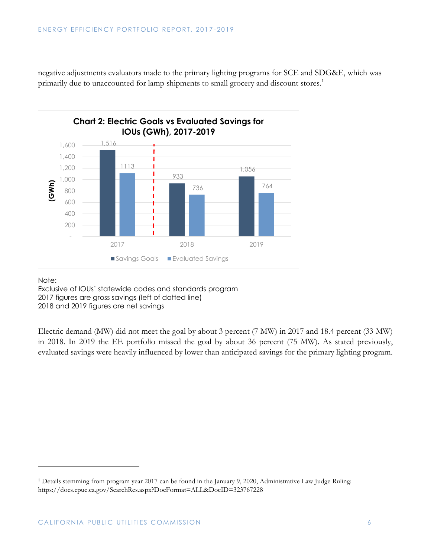negative adjustments evaluators made to the primary lighting programs for SCE and SDG&E, which was primarily due to unaccounted for lamp shipments to small grocery and discount stores.<sup>1</sup>



Note:

Exclusive of IOUs' statewide codes and standards program 2017 figures are gross savings (left of dotted line) 2018 and 2019 figures are net savings

Electric demand (MW) did not meet the goal by about 3 percent (7 MW) in 2017 and 18.4 percent (33 MW) in 2018. In 2019 the EE portfolio missed the goal by about 36 percent (75 MW). As stated previously, evaluated savings were heavily influenced by lower than anticipated savings for the primary lighting program.

<sup>1</sup> Details stemming from program year 2017 can be found in the January 9, 2020, Administrative Law Judge Ruling: https://docs.cpuc.ca.gov/SearchRes.aspx?DocFormat=ALL&DocID=323767228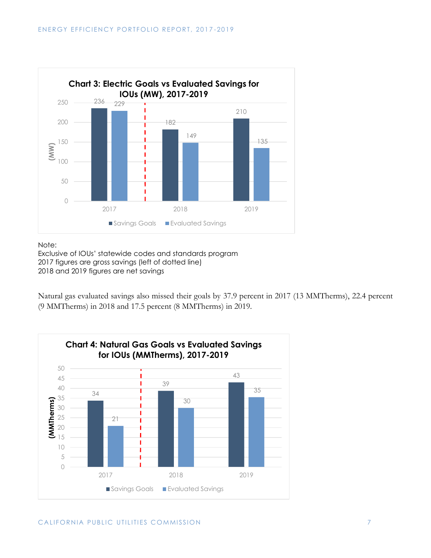

Note:

Exclusive of IOUs' statewide codes and standards program 2017 figures are gross savings (left of dotted line) 2018 and 2019 figures are net savings

Natural gas evaluated savings also missed their goals by 37.9 percent in 2017 (13 MMTherms), 22.4 percent (9 MMTherms) in 2018 and 17.5 percent (8 MMTherms) in 2019.

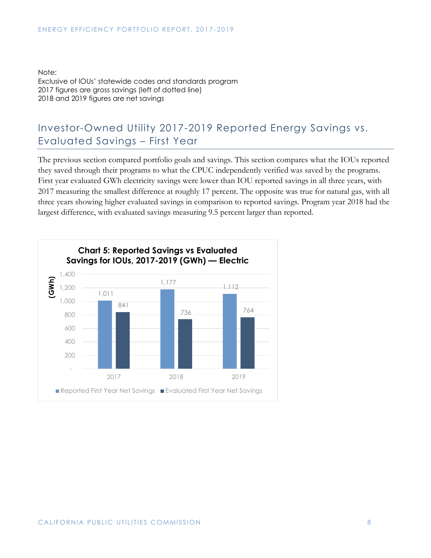Note: Exclusive of IOUs' statewide codes and standards program 2017 figures are gross savings (left of dotted line) 2018 and 2019 figures are net savings

## <span id="page-8-0"></span>Investor-Owned Utility 2017-2019 Reported Energy Savings vs. Evaluated Savings – First Year

The previous section compared portfolio goals and savings. This section compares what the IOUs reported they saved through their programs to what the CPUC independently verified was saved by the programs. First year evaluated GWh electricity savings were lower than IOU reported savings in all three years, with 2017 measuring the smallest difference at roughly 17 percent. The opposite was true for natural gas, with all three years showing higher evaluated savings in comparison to reported savings. Program year 2018 had the largest difference, with evaluated savings measuring 9.5 percent larger than reported.

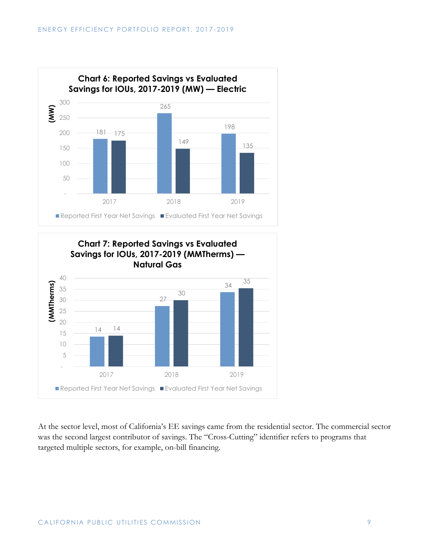



At the sector level, most of California's EE savings came from the residential sector. The commercial sector was the second largest contributor of savings. The "Cross-Cutting" identifier refers to programs that targeted multiple sectors, for example, on-bill financing.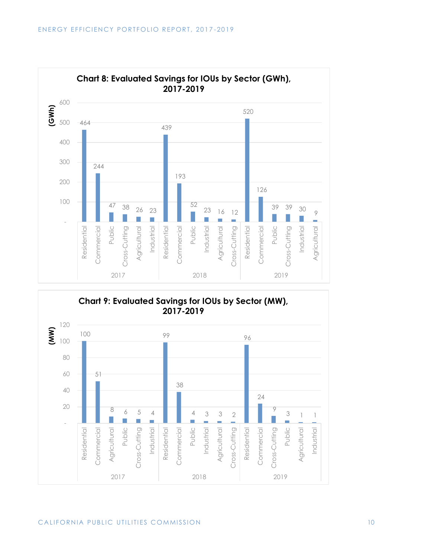



#### CALIFORNIA PUBLIC UTILITIES COMMISSION NATURAL RESERVE TO A 10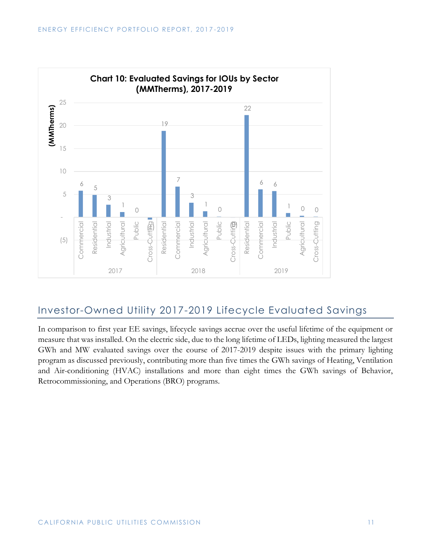

### <span id="page-11-0"></span>Investor-Owned Utility 2017-2019 Lifecycle Evaluated Savings

In comparison to first year EE savings, lifecycle savings accrue over the useful lifetime of the equipment or measure that was installed. On the electric side, due to the long lifetime of LEDs, lighting measured the largest GWh and MW evaluated savings over the course of 2017-2019 despite issues with the primary lighting program as discussed previously, contributing more than five times the GWh savings of Heating, Ventilation and Air-conditioning (HVAC) installations and more than eight times the GWh savings of Behavior, Retrocommissioning, and Operations (BRO) programs.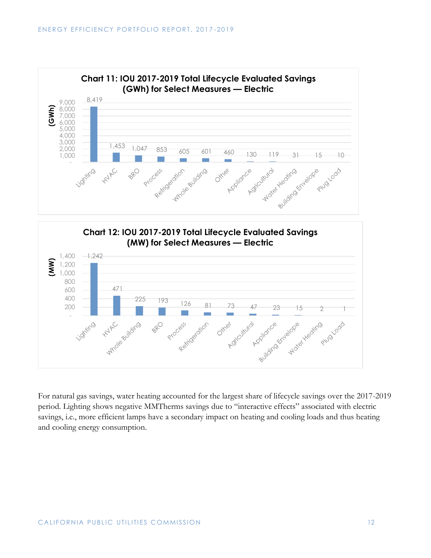



For natural gas savings, water heating accounted for the largest share of lifecycle savings over the 2017-2019 period. Lighting shows negative MMTherms savings due to "interactive effects" associated with electric savings, i.e., more efficient lamps have a secondary impact on heating and cooling loads and thus heating and cooling energy consumption.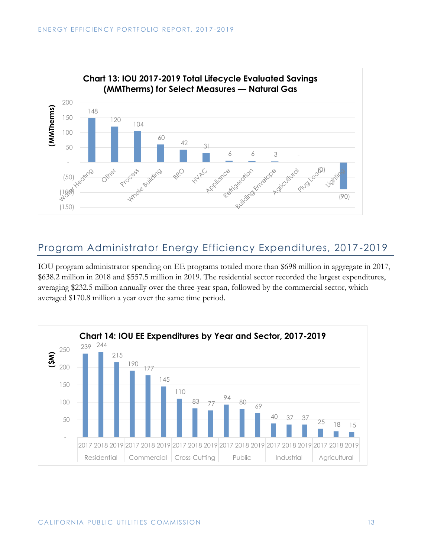

### <span id="page-13-0"></span>Program Administrator Energy Efficiency Expenditures, 2017-2019

IOU program administrator spending on EE programs totaled more than \$698 million in aggregate in 2017, \$638.2 million in 2018 and \$557.5 million in 2019. The residential sector recorded the largest expenditures, averaging \$232.5 million annually over the three-year span, followed by the commercial sector, which averaged \$170.8 million a year over the same time period.

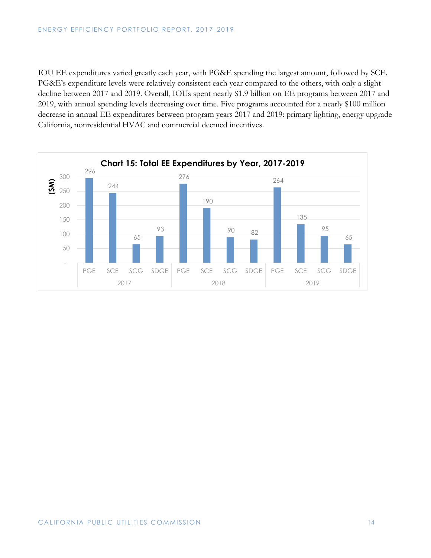IOU EE expenditures varied greatly each year, with PG&E spending the largest amount, followed by SCE. PG&E's expenditure levels were relatively consistent each year compared to the others, with only a slight decline between 2017 and 2019. Overall, IOUs spent nearly \$1.9 billion on EE programs between 2017 and 2019, with annual spending levels decreasing over time. Five programs accounted for a nearly \$100 million decrease in annual EE expenditures between program years 2017 and 2019: primary lighting, energy upgrade California, nonresidential HVAC and commercial deemed incentives.

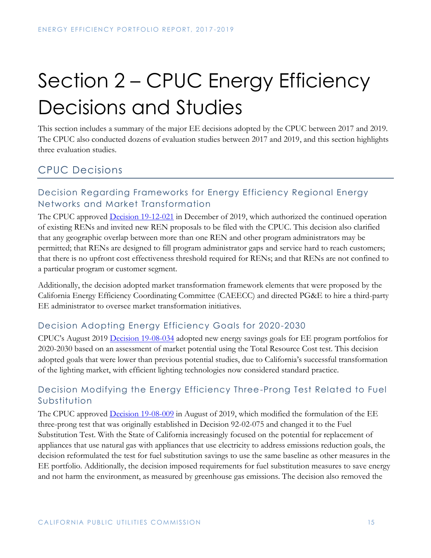# <span id="page-15-0"></span>Section 2 – CPUC Energy Efficiency Decisions and Studies

This section includes a summary of the major EE decisions adopted by the CPUC between 2017 and 2019. The CPUC also conducted dozens of evaluation studies between 2017 and 2019, and this section highlights three evaluation studies.

## <span id="page-15-1"></span>CPUC Decisions

#### <span id="page-15-2"></span>Decision Regarding Frameworks for Energy Efficiency Regional Energy Networks and Market Transformation

The CPUC approved **Decision 19-12-021** in December of 2019, which authorized the continued operation of existing RENs and invited new REN proposals to be filed with the CPUC. This decision also clarified that any geographic overlap between more than one REN and other program administrators may be permitted; that RENs are designed to fill program administrator gaps and service hard to reach customers; that there is no upfront cost effectiveness threshold required for RENs; and that RENs are not confined to a particular program or customer segment.

Additionally, the decision adopted market transformation framework elements that were proposed by the California Energy Efficiency Coordinating Committee (CAEECC) and directed PG&E to hire a third-party EE administrator to oversee market transformation initiatives.

#### <span id="page-15-3"></span>Decision Adopting Energy Efficiency Goals for 2020-2030

CPUC's August 2019 [Decision 19-08-034](https://docs.cpuc.ca.gov/SearchRes.aspx?DocFormat=ALL&DocID=311540642) adopted new energy savings goals for EE program portfolios for 2020-2030 based on an assessment of market potential using the Total Resource Cost test. This decision adopted goals that were lower than previous potential studies, due to California's successful transformation of the lighting market, with efficient lighting technologies now considered standard practice.

#### <span id="page-15-4"></span>Decision Modifying the Energy Efficiency Three-Prong Test Related to Fuel Substitution

The CPUC approved **Decision 19-08-009** in August of 2019, which modified the formulation of the EE three-prong test that was originally established in Decision 92-02-075 and changed it to the Fuel Substitution Test. With the State of California increasingly focused on the potential for replacement of appliances that use natural gas with appliances that use electricity to address emissions reduction goals, the decision reformulated the test for fuel substitution savings to use the same baseline as other measures in the EE portfolio. Additionally, the decision imposed requirements for fuel substitution measures to save energy and not harm the environment, as measured by greenhouse gas emissions. The decision also removed the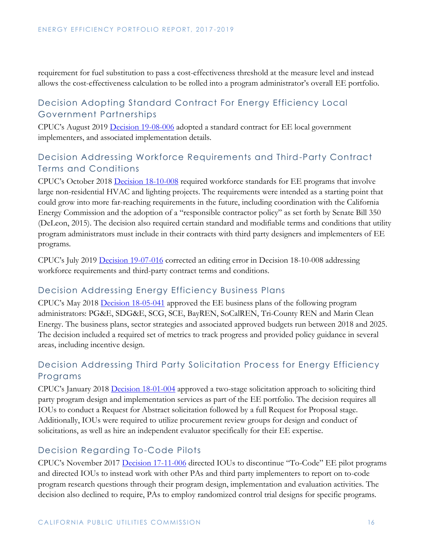requirement for fuel substitution to pass a cost-effectiveness threshold at the measure level and instead allows the cost-effectiveness calculation to be rolled into a program administrator's overall EE portfolio.

#### <span id="page-16-0"></span>Decision Adopting Standard Contract For Energy Efficiency Local Government Partnerships

CPUC's August 2019 [Decision 19-08-006](https://docs.cpuc.ca.gov/PublishedDocs/Published/G000/M310/K261/310261656.PDF) adopted a standard contract for EE local government implementers, and associated implementation details.

#### <span id="page-16-1"></span>Decision Addressing Workforce Requirements and Third-Party Contract Terms and Conditions

CPUC's October 2018 [Decision 18-10-008](https://docs.cpuc.ca.gov/SearchRes.aspx?DocFormat=ALL&DocID=234071190) required workforce standards for EE programs that involve large non-residential HVAC and lighting projects. The requirements were intended as a starting point that could grow into more far-reaching requirements in the future, including coordination with the California Energy Commission and the adoption of a "responsible contractor policy" as set forth by Senate Bill 350 (DeLeon, 2015). The decision also required certain standard and modifiable terms and conditions that utility program administrators must include in their contracts with third party designers and implementers of EE programs.

CPUC's July 2019 [Decision 19-07-016](https://docs.cpuc.ca.gov/PublishedDocs/Published/G000/M309/K685/309685792.PDF) corrected an editing error in Decision 18-10-008 addressing workforce requirements and third-party contract terms and conditions.

#### <span id="page-16-2"></span>Decision Addressing Energy Efficiency Business Plans

CPUC's May 2018 [Decision 18-05-041](https://docs.cpuc.ca.gov/SearchRes.aspx?DocFormat=ALL&DocID=215706139) approved the EE business plans of the following program administrators: PG&E, SDG&E, SCG, SCE, BayREN, SoCalREN, Tri-County REN and Marin Clean Energy. The business plans, sector strategies and associated approved budgets run between 2018 and 2025. The decision included a required set of metrics to track progress and provided policy guidance in several areas, including incentive design.

#### <span id="page-16-3"></span>Decision Addressing Third Party Solicitation Process for Energy Efficiency Programs

CPUC's January 2018 [Decision 18-01-004](https://docs.cpuc.ca.gov/PublishedDocs/Published/G000/M205/K560/205560586.PDF) approved a two-stage solicitation approach to soliciting third party program design and implementation services as part of the EE portfolio. The decision requires all IOUs to conduct a Request for Abstract solicitation followed by a full Request for Proposal stage. Additionally, IOUs were required to utilize procurement review groups for design and conduct of solicitations, as well as hire an independent evaluator specifically for their EE expertise.

#### <span id="page-16-4"></span>Decision Regarding To-Code Pilots

CPUC's November 2017 [Decision 17-11-006](https://docs.cpuc.ca.gov/SearchRes.aspx?DocFormat=ALL&DocID=199076456) directed IOUs to discontinue "To-Code" EE pilot programs and directed IOUs to instead work with other PAs and third party implementers to report on to-code program research questions through their program design, implementation and evaluation activities. The decision also declined to require, PAs to employ randomized control trial designs for specific programs.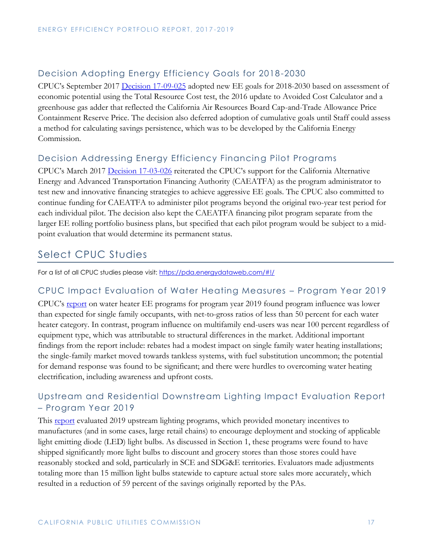#### <span id="page-17-0"></span>Decision Adopting Energy Efficiency Goals for 2018-2030

CPUC's September 2017 [Decision 17-09-025](https://docs.cpuc.ca.gov/SearchRes.aspx?DocFormat=ALL&DocID=196685174) adopted new EE goals for 2018-2030 based on assessment of economic potential using the Total Resource Cost test, the 2016 update to Avoided Cost Calculator and a greenhouse gas adder that reflected the California Air Resources Board Cap-and-Trade Allowance Price Containment Reserve Price. The decision also deferred adoption of cumulative goals until Staff could assess a method for calculating savings persistence, which was to be developed by the California Energy Commission.

#### <span id="page-17-1"></span>Decision Addressing Energy Efficiency Financing Pilot Programs

CPUC's March 2017 [Decision 17-03-026](https://docs.cpuc.ca.gov/SearchRes.aspx?DocFormat=ALL&DocID=182307585) reiterated the CPUC's support for the California Alternative Energy and Advanced Transportation Financing Authority (CAEATFA) as the program administrator to test new and innovative financing strategies to achieve aggressive EE goals. The CPUC also committed to continue funding for CAEATFA to administer pilot programs beyond the original two-year test period for each individual pilot. The decision also kept the CAEATFA financing pilot program separate from the larger EE rolling portfolio business plans, but specified that each pilot program would be subject to a midpoint evaluation that would determine its permanent status.

## <span id="page-17-2"></span>Select CPUC Studies

For a list of all CPUC studies please visit:<https://pda.energydataweb.com/#!/>

#### <span id="page-17-3"></span>CPUC Impact Evaluation of Water Heating Measures – Program Year 2019

CPUC's [report](https://pda.energydataweb.com/api/view/2503/CPUC%20Group%20A%20Report%20Water%20Heating%20PY%202019_final_PDA.pdf) on water heater EE programs for program year 2019 found program influence was lower than expected for single family occupants, with net-to-gross ratios of less than 50 percent for each water heater category. In contrast, program influence on multifamily end-users was near 100 percent regardless of equipment type, which was attributable to structural differences in the market. Additional important findings from the report include: rebates had a modest impact on single family water heating installations; the single-family market moved towards tankless systems, with fuel substitution uncommon; the potential for demand response was found to be significant; and there were hurdles to overcoming water heating electrification, including awareness and upfront costs.

#### <span id="page-17-4"></span>Upstream and Residential Downstream Lighting Impact Evaluation Report – Program Year 2019

This [report](https://pda.energydataweb.com/api/view/2495/CPUC%20Upstream%20Lighting%20Sector%20PY2019%20Impact%20Eval%20Report_April_2021_FINAL.pdf) evaluated 2019 upstream lighting programs, which provided monetary incentives to manufactures (and in some cases, large retail chains) to encourage deployment and stocking of applicable light emitting diode (LED) light bulbs. As discussed in Section 1, these programs were found to have shipped significantly more light bulbs to discount and grocery stores than those stores could have reasonably stocked and sold, particularly in SCE and SDG&E territories. Evaluators made adjustments totaling more than 15 million light bulbs statewide to capture actual store sales more accurately, which resulted in a reduction of 59 percent of the savings originally reported by the PAs.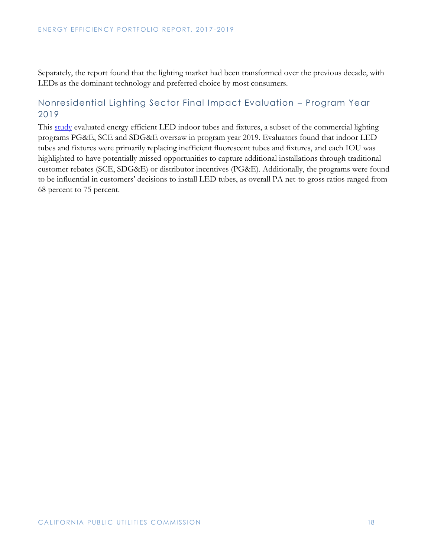Separately, the report found that the lighting market had been transformed over the previous decade, with LEDs as the dominant technology and preferred choice by most consumers.

#### <span id="page-18-0"></span>Nonresidential Lighting Sector Final Impact Evaluation – Program Year 2019

This [study](https://pda.energydataweb.com/api/view/2489/PY2019_NonresLgtImpact_FinalRpt.pdf) evaluated energy efficient LED indoor tubes and fixtures, a subset of the commercial lighting programs PG&E, SCE and SDG&E oversaw in program year 2019. Evaluators found that indoor LED tubes and fixtures were primarily replacing inefficient fluorescent tubes and fixtures, and each IOU was highlighted to have potentially missed opportunities to capture additional installations through traditional customer rebates (SCE, SDG&E) or distributor incentives (PG&E). Additionally, the programs were found to be influential in customers' decisions to install LED tubes, as overall PA net-to-gross ratios ranged from 68 percent to 75 percent.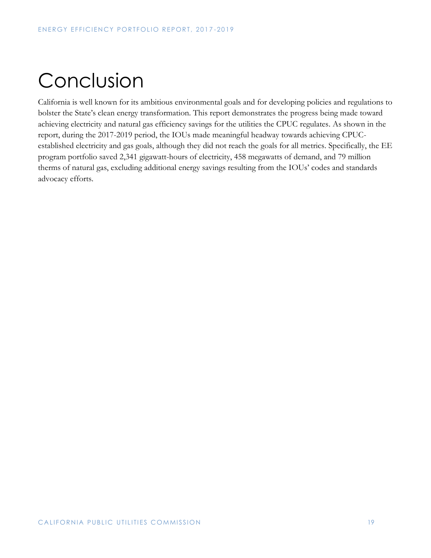# <span id="page-19-0"></span>Conclusion

California is well known for its ambitious environmental goals and for developing policies and regulations to bolster the State's clean energy transformation. This report demonstrates the progress being made toward achieving electricity and natural gas efficiency savings for the utilities the CPUC regulates. As shown in the report, during the 2017-2019 period, the IOUs made meaningful headway towards achieving CPUCestablished electricity and gas goals, although they did not reach the goals for all metrics. Specifically, the EE program portfolio saved 2,341 gigawatt-hours of electricity, 458 megawatts of demand, and 79 million therms of natural gas, excluding additional energy savings resulting from the IOUs' codes and standards advocacy efforts.